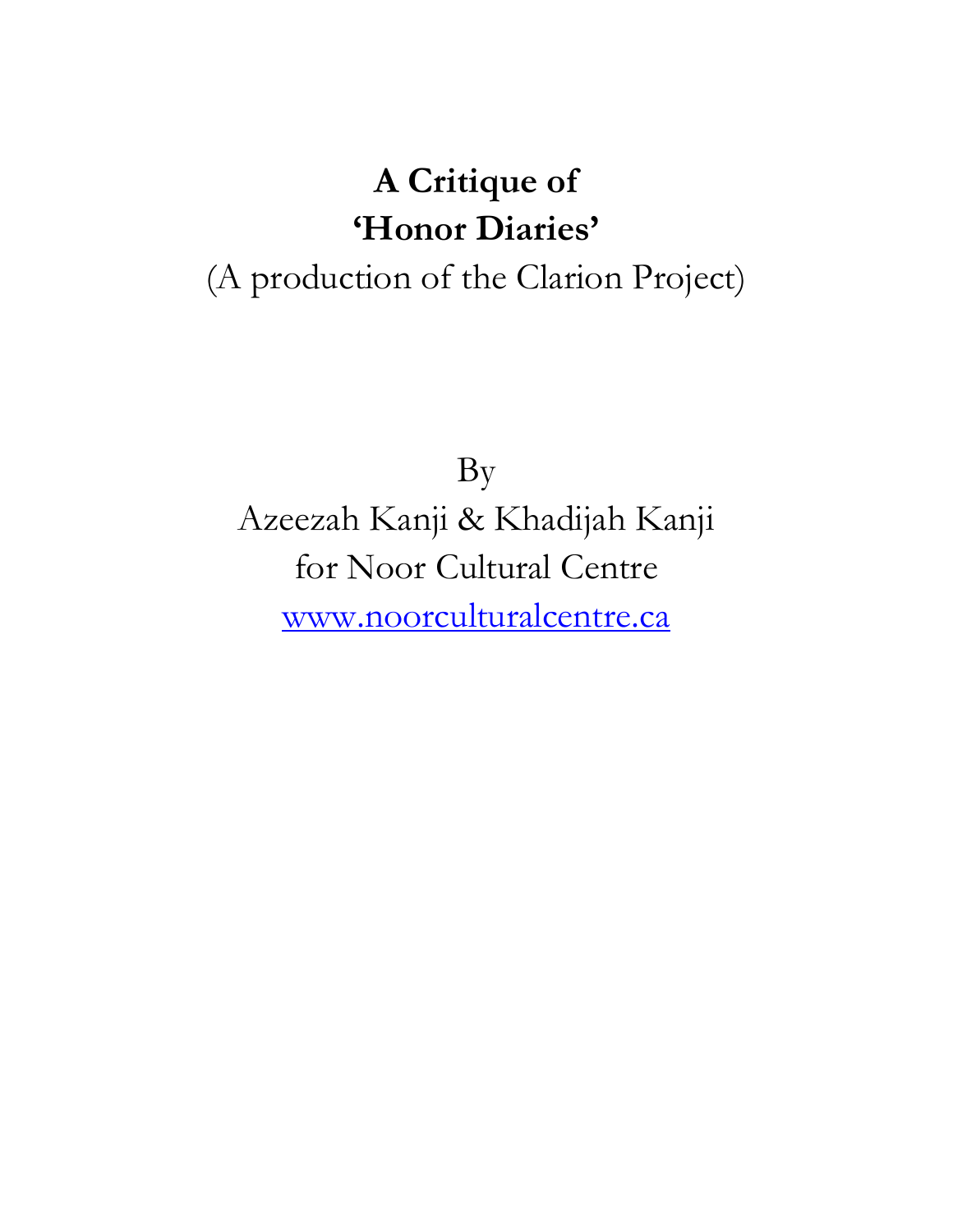# **A Critique of 'Honor Diaries'**

## (A production of the Clarion Project)

By

Azeezah Kanji & Khadijah Kanji for Noor Cultural Centre [www.noorculturalcentre.ca](../Downloads/www.noorculturalcentre.ca)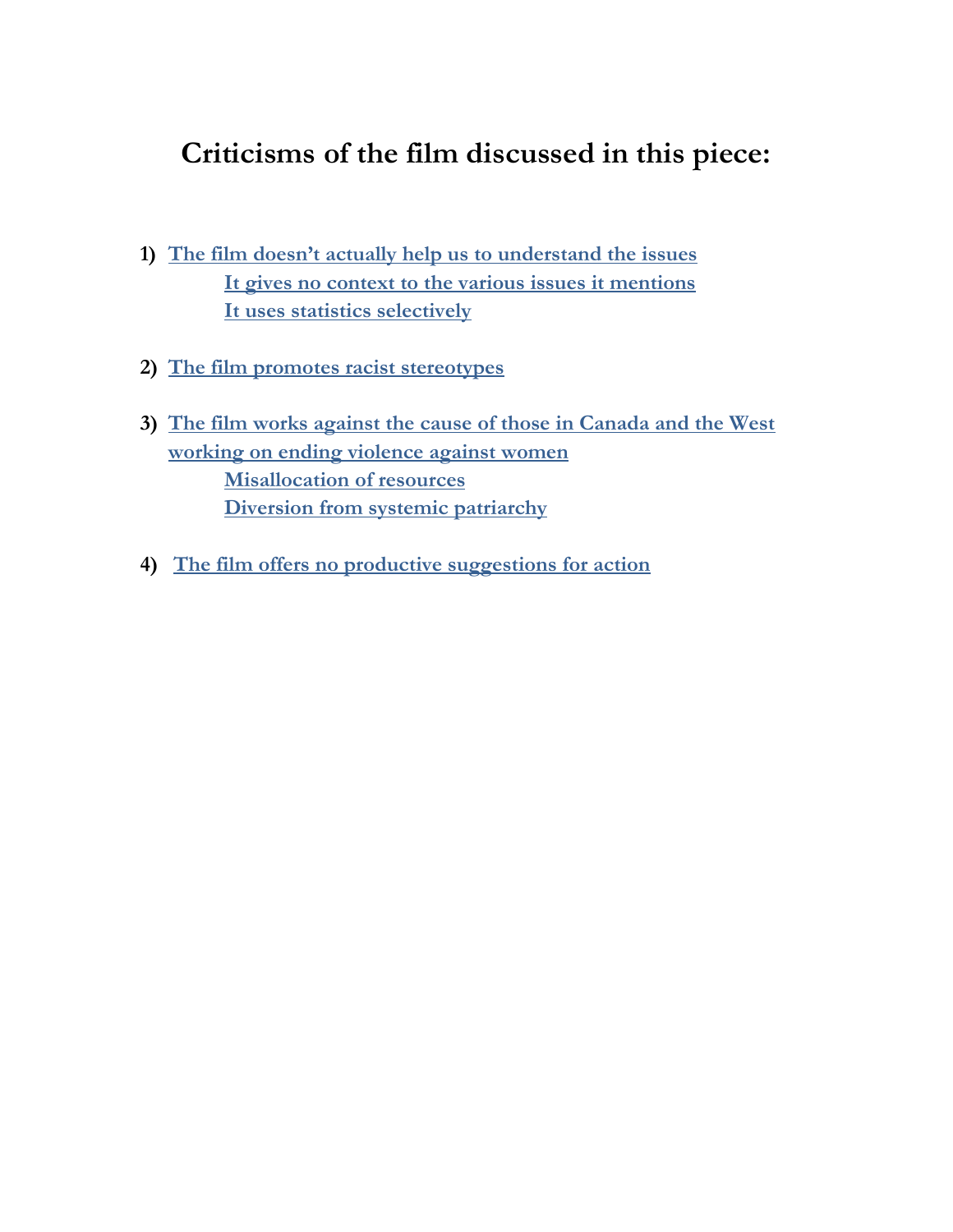### **Criticisms of the film discussed in this piece:**

- **1) [The film doesn't actually help us to understand the issues](#page-2-0) [It gives no context to the various issues it mentions](#page-2-0) [It uses statistics selectively](#page-3-0)**
- **2) [The film promotes racist stereotypes](#page-3-1)**
- **3) [The film works against the cause of those in Canada and the West](#page-5-0)  [working on ending violence against women](#page-5-0) [Misallocation of resources](#page-5-0) [Diversion from systemic patriarchy](#page-6-0)**
- **4) [The film offers no productive suggestions for action](#page-7-0)**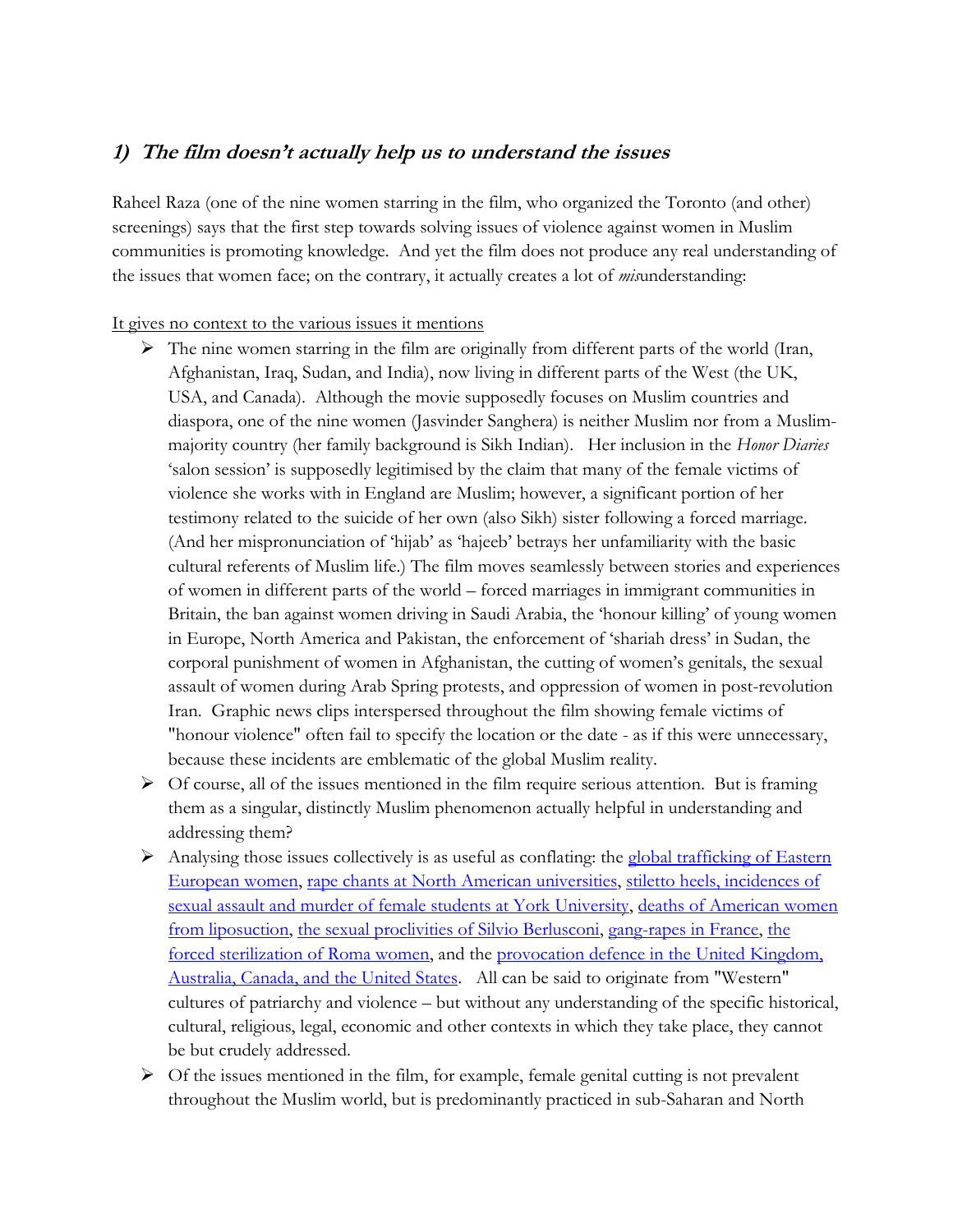#### <span id="page-2-0"></span>**1) The film doesn't actually help us to understand the issues**

Raheel Raza (one of the nine women starring in the film, who organized the Toronto (and other) screenings) says that the first step towards solving issues of violence against women in Muslim communities is promoting knowledge. And yet the film does not produce any real understanding of the issues that women face; on the contrary, it actually creates a lot of *mis*understanding:

It gives no context to the various issues it mentions

- $\triangleright$  The nine women starring in the film are originally from different parts of the world (Iran, Afghanistan, Iraq, Sudan, and India), now living in different parts of the West (the UK, USA, and Canada). Although the movie supposedly focuses on Muslim countries and diaspora, one of the nine women (Jasvinder Sanghera) is neither Muslim nor from a Muslimmajority country (her family background is Sikh Indian). Her inclusion in the *Honor Diaries* 'salon session' is supposedly legitimised by the claim that many of the female victims of violence she works with in England are Muslim; however, a significant portion of her testimony related to the suicide of her own (also Sikh) sister following a forced marriage. (And her mispronunciation of 'hijab' as 'hajeeb' betrays her unfamiliarity with the basic cultural referents of Muslim life.) The film moves seamlessly between stories and experiences of women in different parts of the world – forced marriages in immigrant communities in Britain, the ban against women driving in Saudi Arabia, the 'honour killing' of young women in Europe, North America and Pakistan, the enforcement of 'shariah dress' in Sudan, the corporal punishment of women in Afghanistan, the cutting of women's genitals, the sexual assault of women during Arab Spring protests, and oppression of women in post-revolution Iran. Graphic news clips interspersed throughout the film showing female victims of "honour violence" often fail to specify the location or the date - as if this were unnecessary, because these incidents are emblematic of the global Muslim reality.
- <span id="page-2-1"></span> $\triangleright$  Of course, all of the issues mentioned in the film require serious attention. But is framing them as a singular, distinctly Muslim phenomenon actually helpful in understanding and addressing them?
- Analysing those issues collectively is as useful as conflating: the global trafficking of Eastern [European women,](http://www.telegraph.co.uk/women/mother-tongue/8139722/The-women-sold-into-sex-slavery.html) [rape chants at North American universities,](http://www.theglobeandmail.com/news/national/student-president-at-saint-marys-university-quits-over-rape-chant-video/article14173613/) [stiletto heels,](http://www.womenshealthmag.com/health/fashion-hazards) [incidences of](http://www.womenshealthmag.com/health/fashion-hazards)  sexual assault and murder of female students at York University, [deaths of American women](http://abcnews.go.com/Health/liposuction-tragedy-mothers-death-highlights-dangers-plastic-surgery/story?id=13890319)  [from liposuction,](http://abcnews.go.com/Health/liposuction-tragedy-mothers-death-highlights-dangers-plastic-surgery/story?id=13890319) [the sexual proclivities of Silvio Berlusconi,](http://www.bbc.com/news/world-europe-11981754) [gang-rapes in France,](http://www.theguardian.com/world/2012/oct/11/gang-rape-trial-france) [the](http://strasbourgobservers.com/2011/11/17/court-condemns-forced-sterilization-of-roma-woman/)  [forced sterilization of Roma women,](http://strasbourgobservers.com/2011/11/17/court-condemns-forced-sterilization-of-roma-woman/) and the [provocation defence in the United Kingdom,](http://en.wikipedia.org/wiki/Provocation_(legal))  [Australia, Canada, and the United States.](http://en.wikipedia.org/wiki/Provocation_(legal)) All can be said to originate from "Western" cultures of patriarchy and violence – but without any understanding of the specific historical, cultural, religious, legal, economic and other contexts in which they take place, they cannot be but crudely addressed.
- $\triangleright$  Of the issues mentioned in the film, for example, female genital cutting is not prevalent throughout the Muslim world, but is predominantly practiced in sub-Saharan and North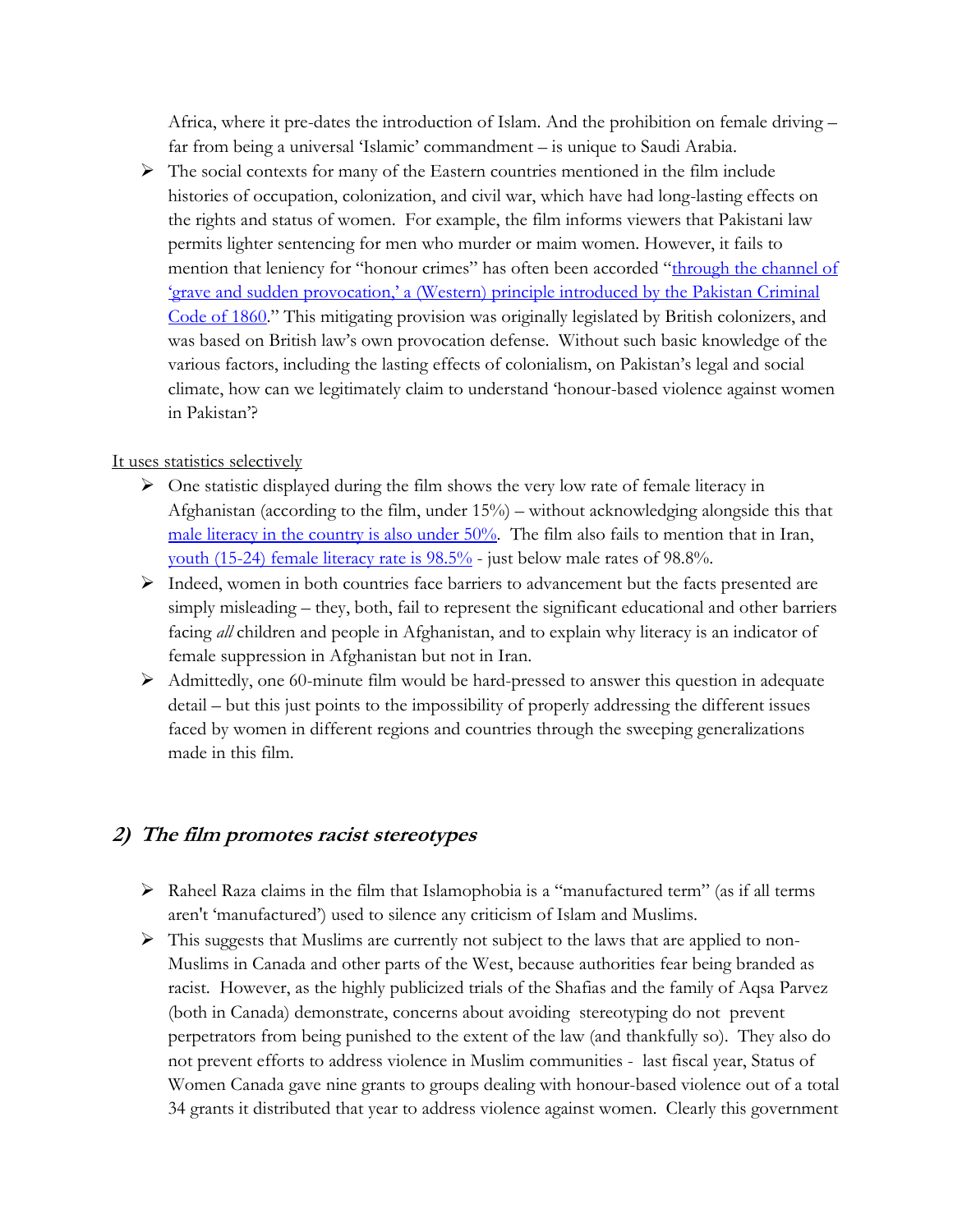Africa, where it pre-dates the introduction of Islam. And the prohibition on female driving – far from being a universal 'Islamic' commandment – is unique to Saudi Arabia.

 $\triangleright$  The social contexts for many of the Eastern countries mentioned in the film include histories of occupation, colonization, and civil war, which have had long-lasting effects on the rights and status of women. For example, the film informs viewers that Pakistani law permits lighter sentencing for men who murder or maim women. However, it fails to mention that leniency for "honour crimes" has often been accorded "through the channel of ['grave and sudden provocation,' a \(Western\) pr](http://www.pascalef.com/wp-content/uploads/2013/10/19-pfournie_fournier_mcdougall_dekker_cclr.pdf)inciple introduced by the Pakistan Criminal [Code of 1860](http://www.pascalef.com/wp-content/uploads/2013/10/19-pfournie_fournier_mcdougall_dekker_cclr.pdf)." This mitigating provision was originally legislated by British colonizers, and was based on British law's own provocation defense. Without such basic knowledge of the various factors, including the lasting effects of colonialism, on Pakistan's legal and social climate, how can we legitimately claim to understand 'honour-based violence against women in Pakistan'?

#### <span id="page-3-2"></span><span id="page-3-0"></span>It uses statistics selectively

- $\triangleright$  One statistic displayed during the film shows the very low rate of female literacy in Afghanistan (according to the film, under 15%) – without acknowledging alongside this that [male literacy in the country is also under 50%.](http://www.indexmundi.com/afghanistan/literacy.html) The film also fails to mention that in Iran, [youth \(15-24\) female literacy rate is 98.5%](http://www.indexmundi.com/facts/iran/literacy-rate) - just below male rates of 98.8%.
- $\triangleright$  Indeed, women in both countries face barriers to advancement but the facts presented are simply misleading – they, both, fail to represent the significant educational and other barriers facing *all* children and people in Afghanistan, and to explain why literacy is an indicator of female suppression in Afghanistan but not in Iran.
- $\triangleright$  Admittedly, one 60-minute film would be hard-pressed to answer this question in adequate detail – but this just points to the impossibility of properly addressing the different issues faced by women in different regions and countries through the sweeping generalizations made in this film.

#### <span id="page-3-1"></span>**2) The film promotes racist stereotypes**

- $\triangleright$  Raheel Raza claims in the film that Islamophobia is a "manufactured term" (as if all terms aren't 'manufactured') used to silence any criticism of Islam and Muslims.
- $\triangleright$  This suggests that Muslims are currently not subject to the laws that are applied to non-Muslims in Canada and other parts of the West, because authorities fear being branded as racist. However, as the highly publicized trials of the Shafias and the family of Aqsa Parvez (both in Canada) demonstrate, concerns about avoiding stereotyping do not prevent perpetrators from being punished to the extent of the law (and thankfully so). They also do not prevent efforts to address violence in Muslim communities - last fiscal year, Status of Women Canada gave nine grants to groups dealing with honour-based violence out of a total 34 grants it distributed that year to address violence against women. Clearly this government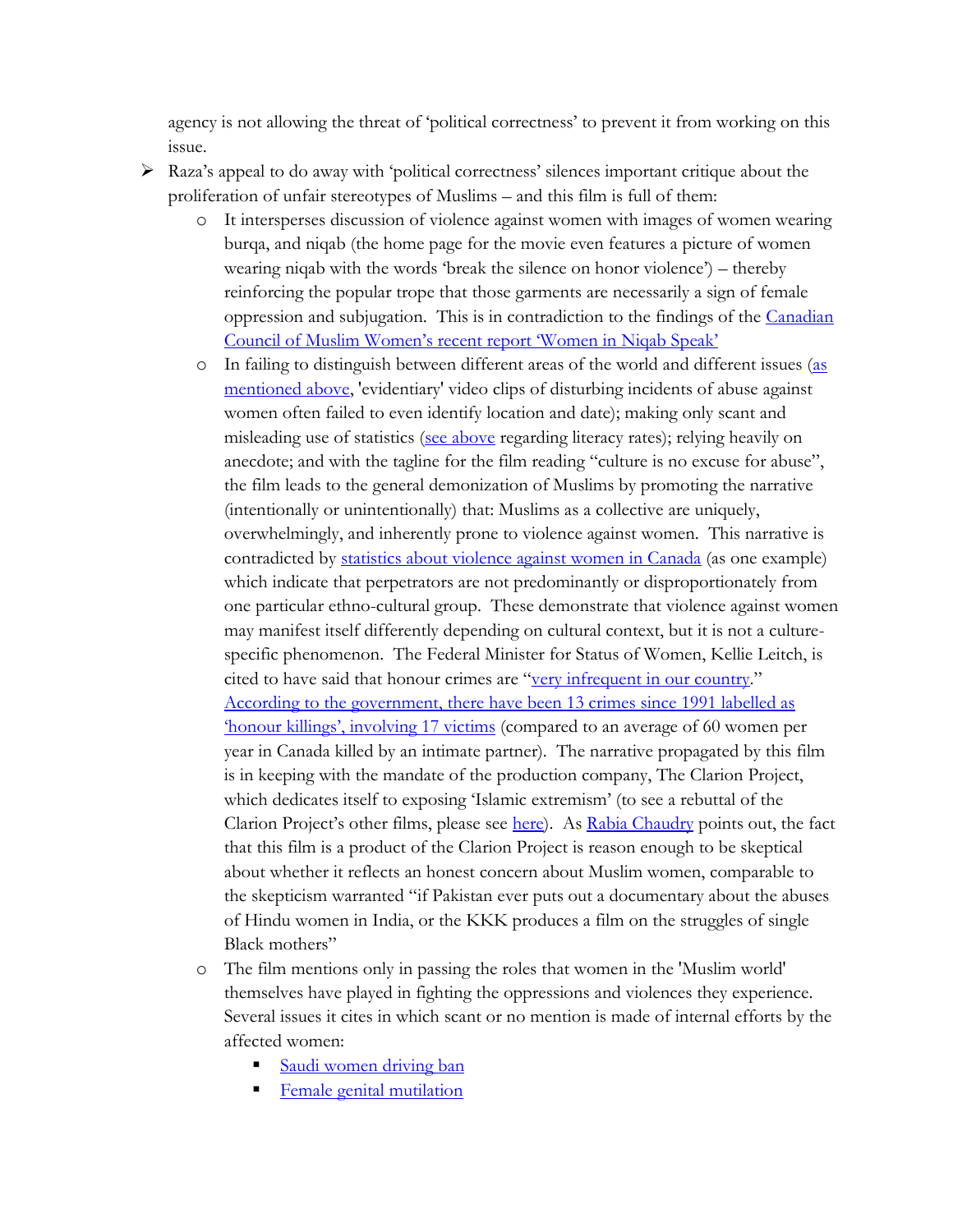agency is not allowing the threat of 'political correctness' to prevent it from working on this issue.

- <span id="page-4-0"></span> Raza's appeal to do away with 'political correctness' silences important critique about the proliferation of unfair stereotypes of Muslims – and this film is full of them:
	- o It intersperses discussion of violence against women with images of women wearing burqa, and niqab (the home page for the movie even features a picture of women wearing niqab with the words 'break the silence on honor violence') – thereby reinforcing the popular trope that those garments are necessarily a sign of female oppression and subjugation. This is in contradiction to the findings of the [Canadian](http://ccmw.com/women-in-niqab-speak-a-study-of-the-niqab-in-canada/)  [Council of Muslim Women's recent report 'Women in Niqab Speak'](http://ccmw.com/women-in-niqab-speak-a-study-of-the-niqab-in-canada/)
	- o In failing to distinguish between different areas of the world and different issues [\(as](#page-2-1)  [mentioned above,](#page-2-1) 'evidentiary' video clips of disturbing incidents of abuse against women often failed to even identify location and date); making only scant and misleading use of statistics [\(see above](#page-3-2) regarding literacy rates); relying heavily on anecdote; and with the tagline for the film reading "culture is no excuse for abuse", the film leads to the general demonization of Muslims by promoting the narrative (intentionally or unintentionally) that: Muslims as a collective are uniquely, overwhelmingly, and inherently prone to violence against women. This narrative is contradicted by [statistics about violence against women in Canada](http://www.canadianwomen.org/facts-about-violence) (as one example) which indicate that perpetrators are not predominantly or disproportionately from one particular ethno-cultural group. These demonstrate that violence against women may manifest itself differently depending on cultural context, but it is not a culturespecific phenomenon. The Federal Minister for Status of Women, Kellie Leitch, is cited to have said that honour crimes are "[very infrequent in our country](http://www.vice.com/en_ca/read/why-hasnt-the-canadian-government-called-a-public-inquiry-into-missing-aboriginal-women)." [According to the government, there](http://metronews.ca/news/ottawa/872936/federal-government-funding-ottawa-project-to-end-honour-based-violence/) have been 13 crimes since 1991 labelled as 'honour killings'[, involving 17 victims](http://metronews.ca/news/ottawa/872936/federal-government-funding-ottawa-project-to-end-honour-based-violence/) (compared to an average of 60 women per year in Canada killed by an intimate partner). The narrative propagated by this film is in keeping with the mandate of the production company, The Clarion Project, which dedicates itself to exposing 'Islamic extremism' (to see a rebuttal of the Clarion Project's other films, please see [here\)](http://www.jewsonfirst.org/Obsession/index.html). As [Rabia Chaudry](http://www.patheos.com/blogs/splitthemoon/2014/04/the-dishonor-diaries/) points out, the fact that this film is a product of the Clarion Project is reason enough to be skeptical about whether it reflects an honest concern about Muslim women, comparable to the skepticism warranted "if Pakistan ever puts out a documentary about the abuses of Hindu women in India, or the KKK produces a film on the struggles of single Black mothers"
	- o The film mentions only in passing the roles that women in the 'Muslim world' themselves have played in fighting the oppressions and violences they experience. Several issues it cites in which scant or no mention is made of internal efforts by the affected women:
		- [Saudi women driving ban](http://www.theguardian.com/world/2013/oct/26/saudi-arabia-woman-driving-car-ban)
		- [Female genital mutilation](http://www.theguardian.com/commentisfree/2014/feb/06/alternative-to-circumcision-prevents-girls-suffering-kenya)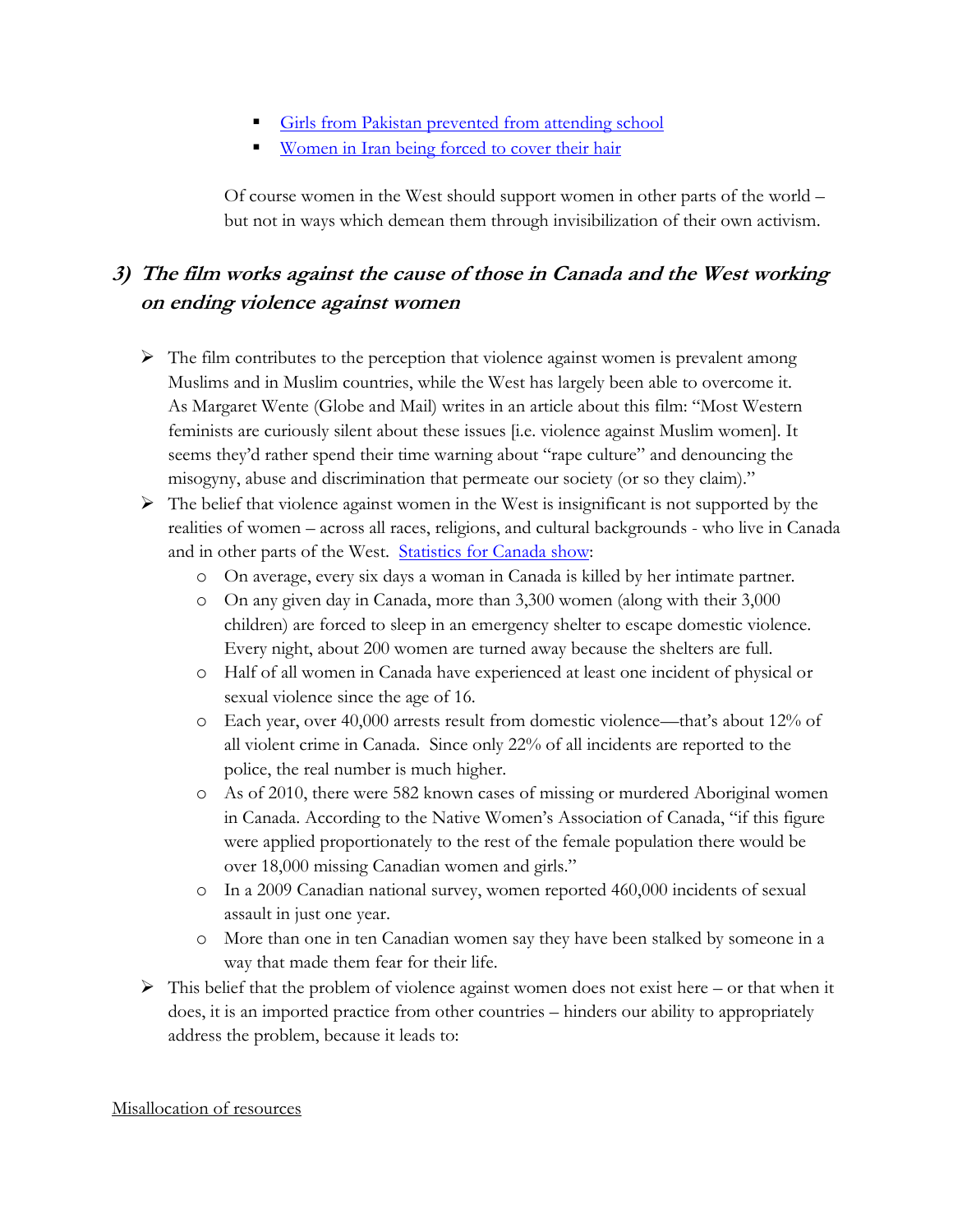- [Girls from Pakistan prevented from attending school](http://www.irinnews.org/report/94418/pakistan-girls-fight-for-the-right-to-education)
- **Women in Iran being [forced to cover their hair](http://www.cnn.com/2009/WORLD/meast/06/19/iran.protests.women/)**

Of course women in the West should support women in other parts of the world – but not in ways which demean them through invisibilization of their own activism.

#### <span id="page-5-0"></span>**3) The film works against the cause of those in Canada and the West working on ending violence against women**

- $\triangleright$  The film contributes to the perception that violence against women is prevalent among Muslims and in Muslim countries, while the West has largely been able to overcome it. As Margaret Wente (Globe and Mail) writes in an article about this film: "Most Western feminists are curiously silent about these issues [i.e. violence against Muslim women]. It seems they'd rather spend their time warning about "rape culture" and denouncing the misogyny, abuse and discrimination that permeate our society (or so they claim)."
- $\triangleright$  The belief that violence against women in the West is insignificant is not supported by the realities of women – across all races, religions, and cultural backgrounds - who live in Canada and in other parts of the West. [Statistics for Canada show:](http://www.canadianwomen.org/facts-about-violence)
	- o On average, every six days a woman in Canada is killed by her intimate partner.
	- o On any given day in Canada, more than 3,300 women (along with their 3,000 children) are forced to sleep in an emergency shelter to escape domestic violence. Every night, about 200 women are turned away because the shelters are full.
	- o Half of all women in Canada have experienced at least one incident of physical or sexual violence since the age of 16.
	- o Each year, over 40,000 arrests result from domestic violence—that's about 12% of all violent crime in Canada. Since only 22% of all incidents are reported to the police, the real number is much higher.
	- o As of 2010, there were 582 known cases of missing or murdered Aboriginal women in Canada. According to the Native Women's Association of Canada, "if this figure were applied proportionately to the rest of the female population there would be over 18,000 missing Canadian women and girls."
	- o In a 2009 Canadian national survey, women reported 460,000 incidents of sexual assault in just one year.
	- o More than one in ten Canadian women say they have been stalked by someone in a way that made them fear for their life.
- $\triangleright$  This belief that the problem of violence against women does not exist here or that when it does, it is an imported practice from other countries – hinders our ability to appropriately address the problem, because it leads to:

#### <span id="page-5-1"></span>Misallocation of resources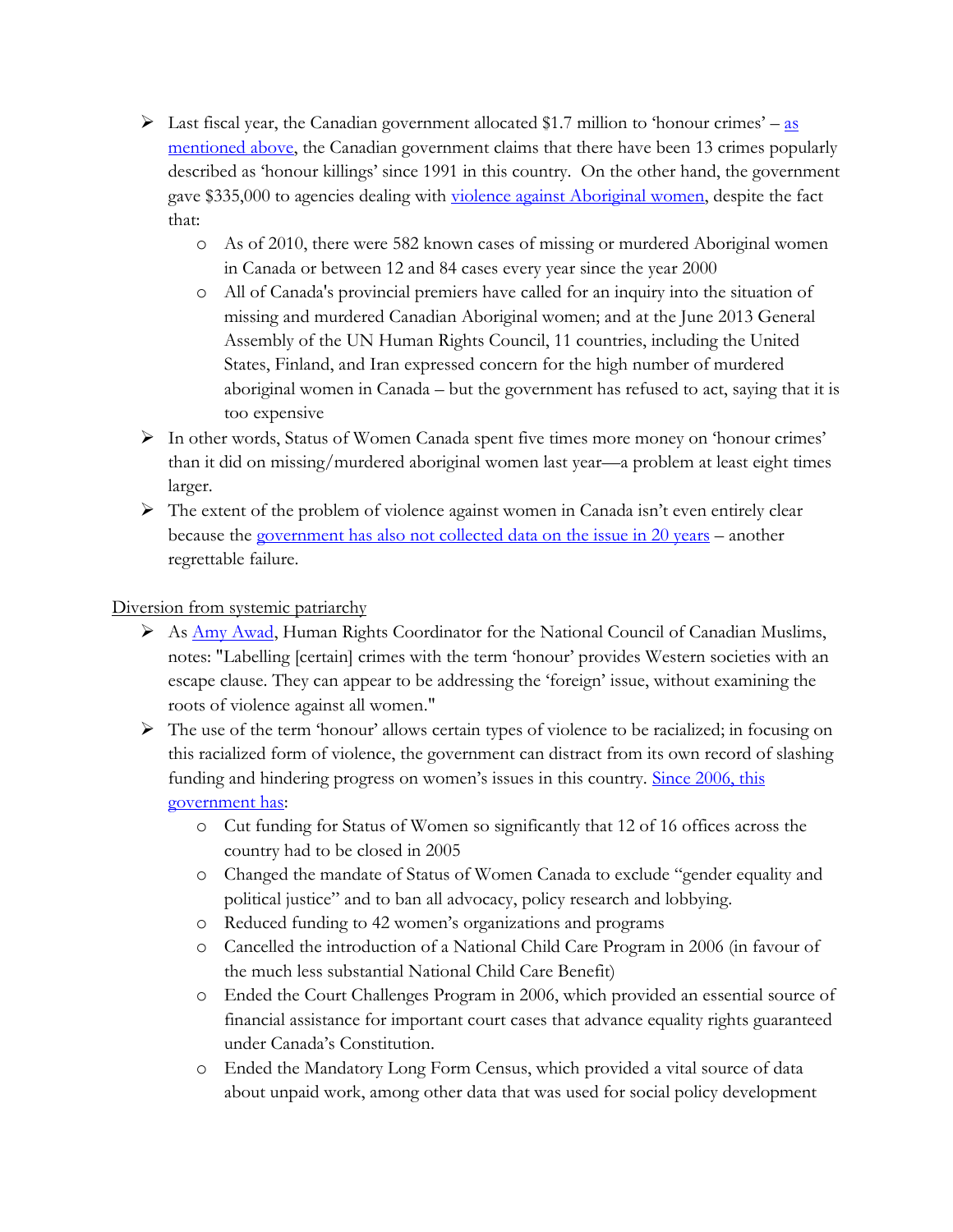- $\triangleright$  Last fiscal year, the Canadian government allocated \$1.7 million to 'honour crimes' as [mentioned above,](#page-4-0) the Canadian government claims that there have been 13 crimes popularly described as 'honour killings' since 1991 in this country. On the other hand, the government gave \$335,000 to agencies dealing with [violence against Aboriginal women,](http://www.vice.com/en_ca/read/why-hasnt-the-canadian-government-called-a-public-inquiry-into-missing-aboriginal-women) despite the fact that:
	- o As of 2010, there were 582 known cases of missing or murdered Aboriginal women in Canada or between 12 and 84 cases every year since the year 2000
	- o All of Canada's provincial premiers have called for an inquiry into the situation of missing and murdered Canadian Aboriginal women; and at the June 2013 General Assembly of the UN Human Rights Council, 11 countries, including the United States, Finland, and Iran expressed concern for the high number of murdered aboriginal women in Canada – but the government has refused to act, saying that it is too expensive
- In other words, Status of Women Canada spent five times more money on 'honour crimes' than it did on missing/murdered aboriginal women last year—a problem at least eight times larger.
- $\triangleright$  The extent of the problem of violence against women in Canada isn't even entirely clear because the [government has also not collected data on the issue in 20 years](http://www.policyalternatives.ca/sites/default/files/uploads/publications/National%20Office/2013/07/Gap_in_Gender_Gap_VAW.pdf) – another regrettable failure.

<span id="page-6-0"></span>Diversion from systemic patriarchy

- $\triangleright$  As [Amy Awad,](http://www.huffingtonpost.ca/amy-awad/honour-crimes_b_5127426.html) Human Rights Coordinator for the National Council of Canadian Muslims, notes: "Labelling [certain] crimes with the term 'honour' provides Western societies with an escape clause. They can appear to be addressing the 'foreign' issue, without examining the roots of violence against all women."
- $\triangleright$  The use of the term 'honour' allows certain types of violence to be racialized; in focusing on this racialized form of violence, the government can distract from its own record of slashing funding and hindering progress on women's issues in this country. Since 2006, this [government has:](http://cfuwadvocacy.wordpress.com/2012/05/25/major-federal-government-cuts-impacting-women-in-canada-since-2006/)
	- o Cut funding for Status of Women so significantly that 12 of 16 offices across the country had to be closed in 2005
	- o Changed the mandate of Status of Women Canada to exclude "gender equality and political justice" and to ban all advocacy, policy research and lobbying.
	- o Reduced funding to 42 women's organizations and programs
	- o Cancelled the introduction of a National Child Care Program in 2006 (in favour of the much less substantial National Child Care Benefit)
	- o Ended the Court Challenges Program in 2006, which provided an essential source of financial assistance for important court cases that advance equality rights guaranteed under Canada's Constitution.
	- o Ended the Mandatory Long Form Census, which provided a vital source of data about unpaid work, among other data that was used for social policy development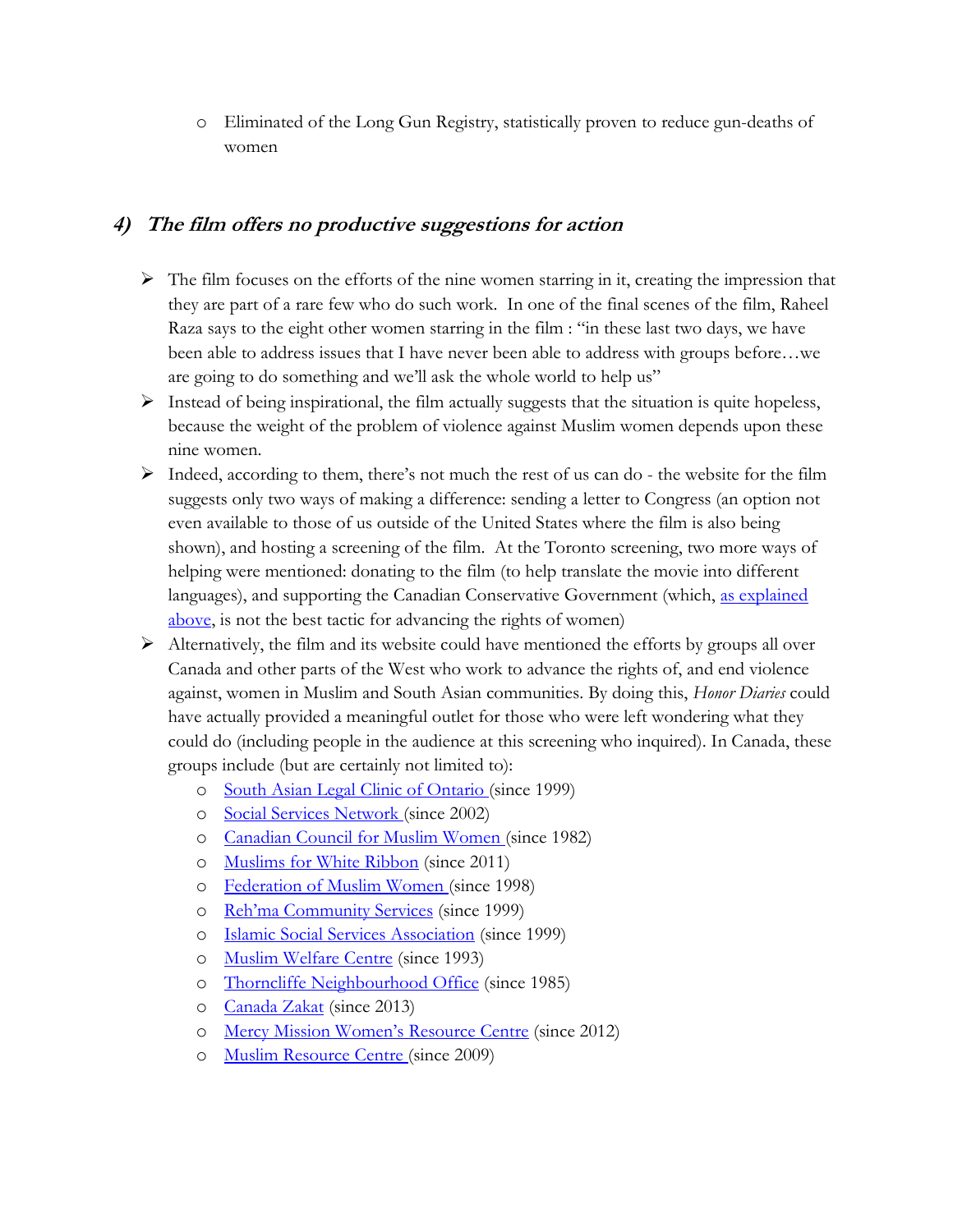o Eliminated of the Long Gun Registry, statistically proven to reduce gun-deaths of women

#### <span id="page-7-0"></span>**4) The film offers no productive suggestions for action**

- $\triangleright$  The film focuses on the efforts of the nine women starring in it, creating the impression that they are part of a rare few who do such work. In one of the final scenes of the film, Raheel Raza says to the eight other women starring in the film : "in these last two days, we have been able to address issues that I have never been able to address with groups before…we are going to do something and we'll ask the whole world to help us"
- $\triangleright$  Instead of being inspirational, the film actually suggests that the situation is quite hopeless, because the weight of the problem of violence against Muslim women depends upon these nine women.
- $\triangleright$  Indeed, according to them, there's not much the rest of us can do the website for the film suggests only two ways of making a difference: sending a letter to Congress (an option not even available to those of us outside of the United States where the film is also being shown), and hosting a screening of the film. At the Toronto screening, two more ways of helping were mentioned: donating to the film (to help translate the movie into different languages), and supporting the Canadian Conservative Government (which, [as explained](#page-5-1)  [above,](#page-5-1) is not the best tactic for advancing the rights of women)
- $\triangleright$  Alternatively, the film and its website could have mentioned the efforts by groups all over Canada and other parts of the West who work to advance the rights of, and end violence against, women in Muslim and South Asian communities. By doing this, *Honor Diaries* could have actually provided a meaningful outlet for those who were left wondering what they could do (including people in the audience at this screening who inquired). In Canada, these groups include (but are certainly not limited to):
	- o [South Asian Legal Clinic of Ontario](http://www.salc.on.ca/) (since 1999)
	- o [Social Services Network](http://www.socialservicesnetwork.org/FAMILYVIOLENCEHOME.aspx) (since 2002)
	- o [Canadian Council for Muslim Women](http://ccmw.com/) (since 1982)
	- o [Muslims for White Ribbon](http://muslimsforwhiteribbon.com/) (since 2011)
	- o [Federation of Muslim Women](http://fmw.org/) (since 1998)
	- o [Reh'ma Community Services](http://www.rehma-cs.org/women.html) (since 1999)
	- o [Islamic Social Services Association](http://www.issaservices.com/issa/domesticviolenceawarenesscampaign.html) (since 1999)
	- o [Muslim Welfare Centre](https://www.muslimwelfarecentre.com/mwc-profile.php) (since 1993)
	- o [Thorncliffe Neighbourhood Office](http://www.thorncliffe.org/violence-against-women/) (since 1985)
	- o [Canada Zakat](http://www.canadazakat.org/) (since 2013)
	- o Mercy Mission W[omen's Resource Centre](http://www.muslimlink.ca/news/local/mercy-mission-launches-hotline-for-muslim-women) (since 2012)
	- o [Muslim Resource Centre](http://mrcssi.com/reclaim-honour-project-launch-a-success/) (since 2009)